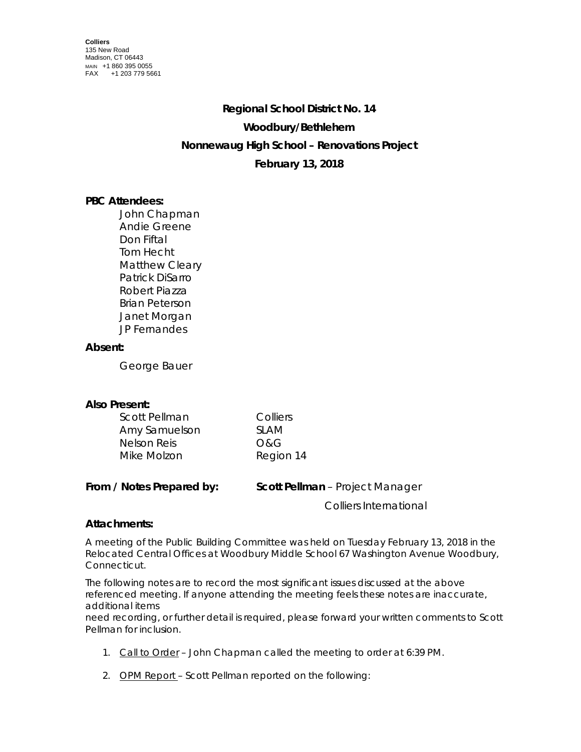# **Regional School District No. 14 Woodbury/Bethlehem Nonnewaug High School – Renovations Project February 13, 2018**

## **PBC Attendees:**

John Chapman Andie Greene Don Fiftal Tom Hecht Matthew Cleary Patrick DiSarro Robert Piazza Brian Peterson Janet Morgan JP Fernandes

### **Absent:**

George Bauer

### **Also Present:**

| Scott Pellman | Colliers  |
|---------------|-----------|
| Amy Samuelson | SI AM     |
| Nelson Reis   | O&G       |
| Mike Molzon   | Region 14 |

| From / Notes Prepared by: | <b>Scott Pellman</b> – Project Manager |
|---------------------------|----------------------------------------|
|                           | Colliers International                 |

### **Attachments:**

A meeting of the Public Building Committee was held on Tuesday February 13, 2018 in the Relocated Central Offices at Woodbury Middle School 67 Washington Avenue Woodbury, Connecticut.

The following notes are to record the most significant issues discussed at the above referenced meeting. If anyone attending the meeting feels these notes are inaccurate, additional items

need recording, or further detail is required, please forward your written comments to Scott Pellman for inclusion.

- 1. Call to Order John Chapman called the meeting to order at 6:39 PM.
- 2. OPM Report Scott Pellman reported on the following: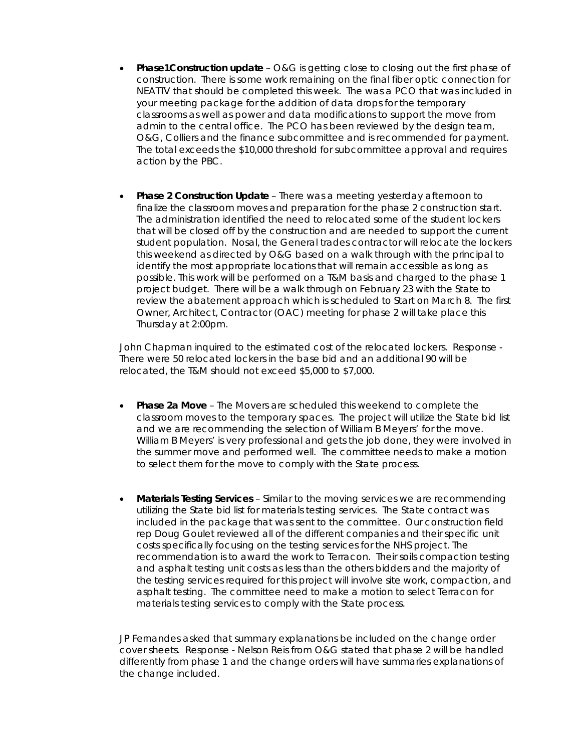- **Phase1Construction update** O&G is getting close to closing out the first phase of construction. There is some work remaining on the final fiber optic connection for NEATTV that should be completed this week. The was a PCO that was included in your meeting package for the addition of data drops for the temporary classrooms as well as power and data modifications to support the move from admin to the central office. The PCO has been reviewed by the design team, O&G, Colliers and the finance subcommittee and is recommended for payment. The total exceeds the \$10,000 threshold for subcommittee approval and requires action by the PBC.
- **Phase 2 Construction Update** There was a meeting yesterday afternoon to finalize the classroom moves and preparation for the phase 2 construction start. The administration identified the need to relocated some of the student lockers that will be closed off by the construction and are needed to support the current student population. Nosal, the General trades contractor will relocate the lockers this weekend as directed by O&G based on a walk through with the principal to identify the most appropriate locations that will remain accessible as long as possible. This work will be performed on a T&M basis and charged to the phase 1 project budget. There will be a walk through on February 23 with the State to review the abatement approach which is scheduled to Start on March 8. The first Owner, Architect, Contractor (OAC) meeting for phase 2 will take place this Thursday at 2:00pm.

John Chapman inquired to the estimated cost of the relocated lockers. Response - There were 50 relocated lockers in the base bid and an additional 90 will be relocated, the T&M should not exceed \$5,000 to \$7,000.

- **Phase 2a Move**  The Movers are scheduled this weekend to complete the classroom moves to the temporary spaces. The project will utilize the State bid list and we are recommending the selection of William B Meyers' for the move. William B Meyers' is very professional and gets the job done, they were involved in the summer move and performed well. The committee needs to make a motion to select them for the move to comply with the State process.
- **Materials Testing Services** Similar to the moving services we are recommending utilizing the State bid list for materials testing services. The State contract was included in the package that was sent to the committee. Our construction field rep Doug Goulet reviewed all of the different companies and their specific unit costs specifically focusing on the testing services for the NHS project. The recommendation is to award the work to Terracon. Their soils compaction testing and asphalt testing unit costs as less than the others bidders and the majority of the testing services required for this project will involve site work, compaction, and asphalt testing. The committee need to make a motion to select Terracon for materials testing services to comply with the State process.

JP Fernandes asked that summary explanations be included on the change order cover sheets. Response - Nelson Reis from O&G stated that phase 2 will be handled differently from phase 1 and the change orders will have summaries explanations of the change included.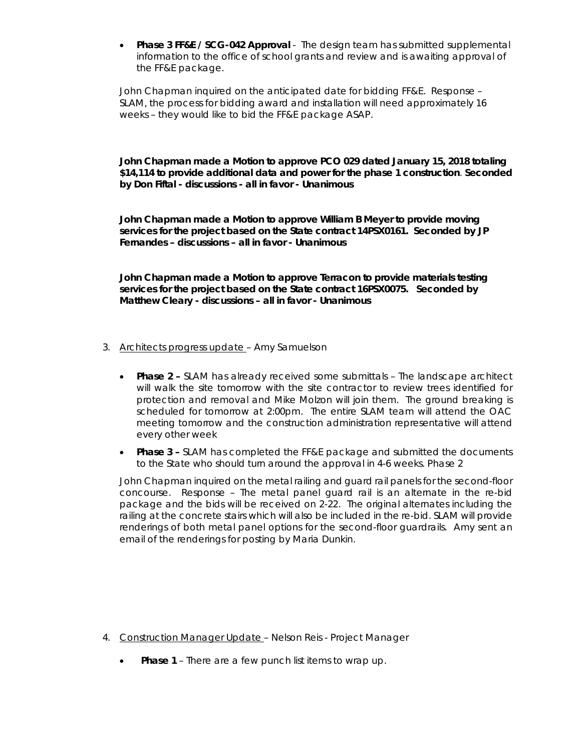• **Phase 3 FF&E / SCG-042 Approval** - The design team has submitted supplemental information to the office of school grants and review and is awaiting approval of the FF&E package.

John Chapman inquired on the anticipated date for bidding FF&E. Response – SLAM, the process for bidding award and installation will need approximately 16 weeks – they would like to bid the FF&E package ASAP.

**John Chapman made a Motion to approve PCO 029 dated January 15, 2018 totaling \$14,114 to provide additional data and power for the phase 1 construction**. **Seconded by Don Fiftal - discussions - all in favor - Unanimous**

**John Chapman made a Motion to approve William B Meyer to provide moving services for the project based on the State contract 14PSX0161. Seconded by JP Fernandes – discussions – all in favor - Unanimous** 

**John Chapman made a Motion to approve Terracon to provide materials testing services for the project based on the State contract 16PSX0075. Seconded by Matthew Cleary - discussions – all in favor - Unanimous** 

- 3. Architects progress update Amy Samuelson
	- **Phase 2 –** SLAM has already received some submittals The landscape architect will walk the site tomorrow with the site contractor to review trees identified for protection and removal and Mike Molzon will join them. The ground breaking is scheduled for tomorrow at 2:00pm. The entire SLAM team will attend the OAC meeting tomorrow and the construction administration representative will attend every other week
	- **Phase 3 –** SLAM has completed the FF&E package and submitted the documents to the State who should turn around the approval in 4-6 weeks. Phase 2

John Chapman inquired on the metal railing and guard rail panels for the second-floor concourse. Response – The metal panel guard rail is an alternate in the re-bid package and the bids will be received on 2-22. The original alternates including the railing at the concrete stairs which will also be included in the re-bid. SLAM will provide renderings of both metal panel options for the second-floor guardrails. Amy sent an email of the renderings for posting by Maria Dunkin.

- 4. Construction Manager Update Nelson Reis Project Manager
	- **Phase 1** There are a few punch list items to wrap up.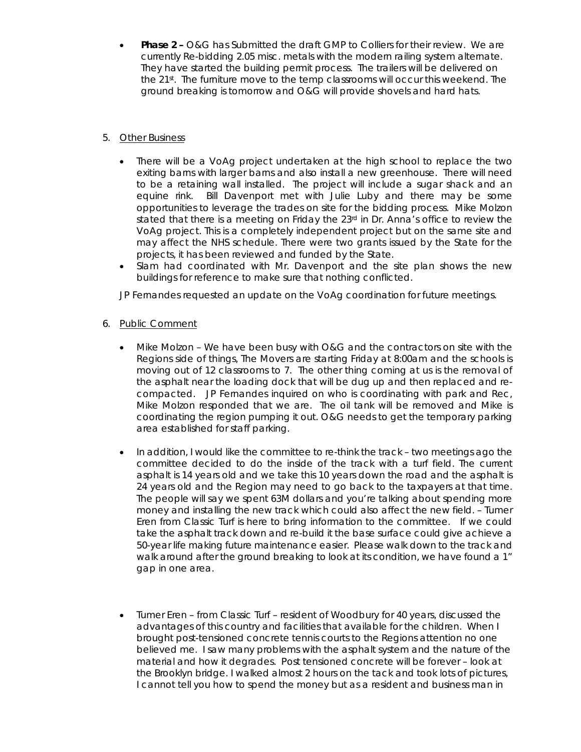• **Phase 2 –** O&G has Submitted the draft GMP to Colliers for their review. We are currently Re-bidding 2.05 misc. metals with the modern railing system alternate. They have started the building permit process. The trailers will be delivered on the 21st. The furniture move to the temp classrooms will occur this weekend. The ground breaking is tomorrow and O&G will provide shovels and hard hats.

#### 5. Other Business

- There will be a VoAg project undertaken at the high school to replace the two exiting barns with larger barns and also install a new greenhouse. There will need to be a retaining wall installed. The project will include a sugar shack and an equine rink. Bill Davenport met with Julie Luby and there may be some opportunities to leverage the trades on site for the bidding process. Mike Molzon stated that there is a meeting on Friday the 23rd in Dr. Anna's office to review the VoAg project. This is a completely independent project but on the same site and may affect the NHS schedule. There were two grants issued by the State for the projects, it has been reviewed and funded by the State.
- Slam had coordinated with Mr. Davenport and the site plan shows the new buildings for reference to make sure that nothing conflicted.

JP Fernandes requested an update on the VoAg coordination for future meetings.

- 6. Public Comment
	- Mike Molzon We have been busy with O&G and the contractors on site with the Regions side of things, The Movers are starting Friday at 8:00am and the schools is moving out of 12 classrooms to 7. The other thing coming at us is the removal of the asphalt near the loading dock that will be dug up and then replaced and recompacted. JP Fernandes inquired on who is coordinating with park and Rec, Mike Molzon responded that we are. The oil tank will be removed and Mike is coordinating the region pumping it out. O&G needs to get the temporary parking area established for staff parking.
	- In addition, I would like the committee to re-think the track two meetings ago the committee decided to do the inside of the track with a turf field. The current asphalt is 14 years old and we take this 10 years down the road and the asphalt is 24 years old and the Region may need to go back to the taxpayers at that time. The people will say we spent 63M dollars and you're talking about spending more money and installing the new track which could also affect the new field. – Tumer Eren from Classic Turf is here to bring information to the committee. If we could take the asphalt track down and re-build it the base surface could give achieve a 50-year life making future maintenance easier. Please walk down to the track and walk around after the ground breaking to look at its condition, we have found a 1" gap in one area.
	- Tumer Eren from Classic Turf resident of Woodbury for 40 years, discussed the advantages of this country and facilities that available for the children. When I brought post-tensioned concrete tennis courts to the Regions attention no one believed me. I saw many problems with the asphalt system and the nature of the material and how it degrades. Post tensioned concrete will be forever – look at the Brooklyn bridge. I walked almost 2 hours on the tack and took lots of pictures, I cannot tell you how to spend the money but as a resident and business man in